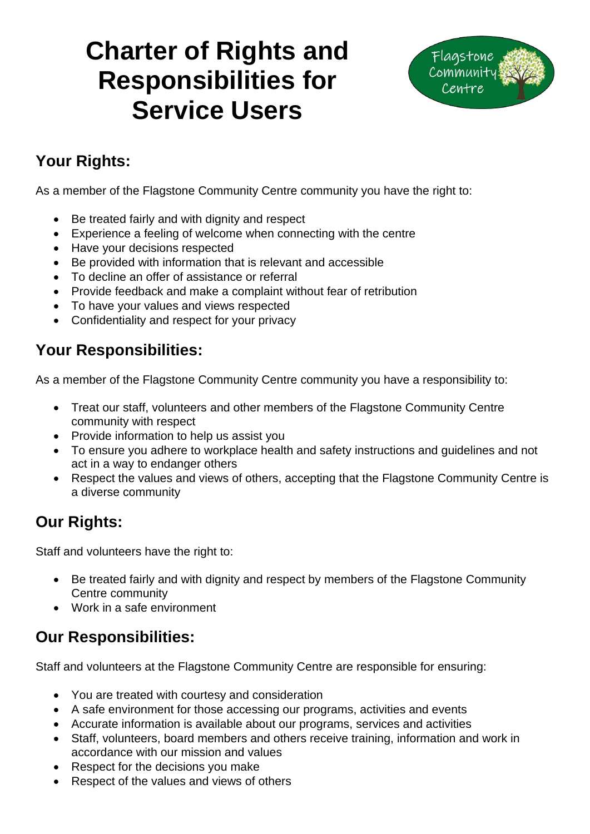# **Charter of Rights and Responsibilities for Service Users**



## **Your Rights:**

As a member of the Flagstone Community Centre community you have the right to:

- Be treated fairly and with dignity and respect
- Experience a feeling of welcome when connecting with the centre
- Have your decisions respected
- Be provided with information that is relevant and accessible
- To decline an offer of assistance or referral
- Provide feedback and make a complaint without fear of retribution
- To have your values and views respected
- Confidentiality and respect for your privacy

#### **Your Responsibilities:**

As a member of the Flagstone Community Centre community you have a responsibility to:

- Treat our staff, volunteers and other members of the Flagstone Community Centre community with respect
- Provide information to help us assist you
- To ensure you adhere to workplace health and safety instructions and guidelines and not act in a way to endanger others
- Respect the values and views of others, accepting that the Flagstone Community Centre is a diverse community

### **Our Rights:**

Staff and volunteers have the right to:

- Be treated fairly and with dignity and respect by members of the Flagstone Community Centre community
- Work in a safe environment

# **Our Responsibilities:**

Staff and volunteers at the Flagstone Community Centre are responsible for ensuring:

- You are treated with courtesy and consideration
- A safe environment for those accessing our programs, activities and events
- Accurate information is available about our programs, services and activities
- Staff, volunteers, board members and others receive training, information and work in accordance with our mission and values
- Respect for the decisions you make
- Respect of the values and views of others